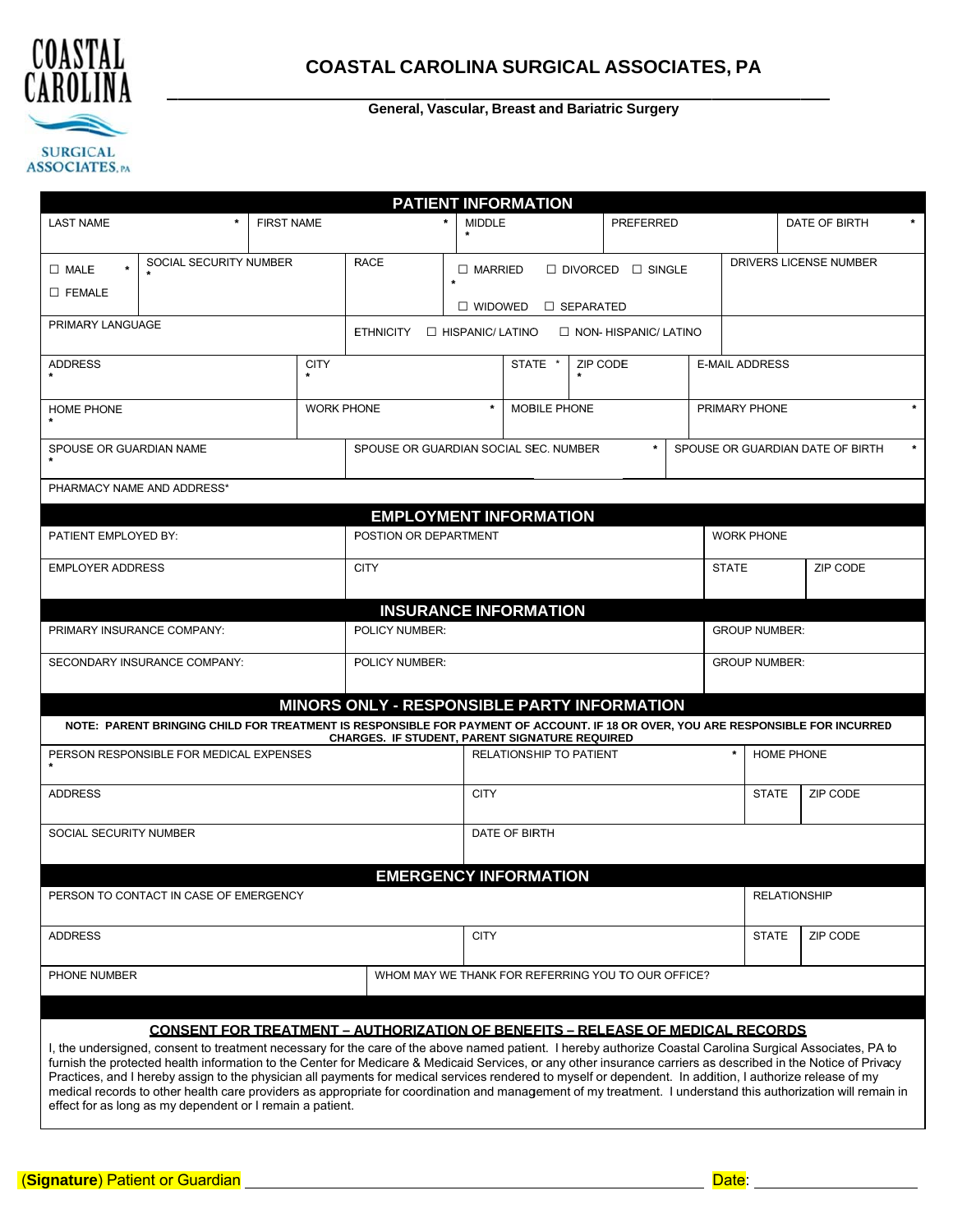

#### General, Vascular, Breast and Bariatric Surgery

| <b>LAST NAME</b><br>SOCIAL SECURITY NUMBER<br>$\Box$ MALE<br>$\square$ FEMALE<br>PRIMARY LANGUAGE<br><b>ADDRESS</b>                                                                                                                                                                                                                                                                                                                                                                                                                                                                                                                                                                                                     | <b>FIRST NAME</b><br><b>CITY</b> | <b>RACE</b><br><b>ETHNICITY</b>                       | <b>MIDDLE</b><br>$\Box$ MARRIED<br>$\Box$ HISPANIC/ LATINO                |              |                      | <b>PREFERRED</b><br>$\Box$ DIVORCED $\Box$ SINGLE |                       |                     | DATE OF BIRTH<br>DRIVERS LICENSE NUMBER |
|-------------------------------------------------------------------------------------------------------------------------------------------------------------------------------------------------------------------------------------------------------------------------------------------------------------------------------------------------------------------------------------------------------------------------------------------------------------------------------------------------------------------------------------------------------------------------------------------------------------------------------------------------------------------------------------------------------------------------|----------------------------------|-------------------------------------------------------|---------------------------------------------------------------------------|--------------|----------------------|---------------------------------------------------|-----------------------|---------------------|-----------------------------------------|
|                                                                                                                                                                                                                                                                                                                                                                                                                                                                                                                                                                                                                                                                                                                         |                                  |                                                       |                                                                           |              |                      |                                                   |                       |                     |                                         |
|                                                                                                                                                                                                                                                                                                                                                                                                                                                                                                                                                                                                                                                                                                                         |                                  |                                                       |                                                                           |              |                      |                                                   |                       |                     |                                         |
|                                                                                                                                                                                                                                                                                                                                                                                                                                                                                                                                                                                                                                                                                                                         |                                  |                                                       |                                                                           |              |                      |                                                   |                       |                     |                                         |
|                                                                                                                                                                                                                                                                                                                                                                                                                                                                                                                                                                                                                                                                                                                         |                                  |                                                       |                                                                           |              |                      |                                                   |                       |                     |                                         |
|                                                                                                                                                                                                                                                                                                                                                                                                                                                                                                                                                                                                                                                                                                                         |                                  |                                                       |                                                                           |              |                      | $\Box$ widowed<br>$\Box$ SEPARATED                |                       |                     |                                         |
|                                                                                                                                                                                                                                                                                                                                                                                                                                                                                                                                                                                                                                                                                                                         |                                  |                                                       |                                                                           |              |                      | $\Box$ NON-HISPANIC/LATINO                        |                       |                     |                                         |
|                                                                                                                                                                                                                                                                                                                                                                                                                                                                                                                                                                                                                                                                                                                         |                                  |                                                       |                                                                           | STATE *      | <b>ZIP CODE</b>      |                                                   | <b>E-MAIL ADDRESS</b> |                     |                                         |
|                                                                                                                                                                                                                                                                                                                                                                                                                                                                                                                                                                                                                                                                                                                         |                                  |                                                       |                                                                           |              |                      |                                                   |                       |                     |                                         |
| <b>HOME PHONE</b>                                                                                                                                                                                                                                                                                                                                                                                                                                                                                                                                                                                                                                                                                                       |                                  | <b>WORK PHONE</b>                                     |                                                                           | MOBILE PHONE |                      |                                                   | PRIMARY PHONE         |                     |                                         |
| SPOUSE OR GUARDIAN NAME                                                                                                                                                                                                                                                                                                                                                                                                                                                                                                                                                                                                                                                                                                 |                                  |                                                       |                                                                           |              |                      | $\star$                                           |                       |                     |                                         |
|                                                                                                                                                                                                                                                                                                                                                                                                                                                                                                                                                                                                                                                                                                                         |                                  |                                                       | SPOUSE OR GUARDIAN SOCIAL SEC. NUMBER<br>SPOUSE OR GUARDIAN DATE OF BIRTH |              |                      |                                                   |                       |                     |                                         |
| PHARMACY NAME AND ADDRESS*                                                                                                                                                                                                                                                                                                                                                                                                                                                                                                                                                                                                                                                                                              |                                  |                                                       |                                                                           |              |                      |                                                   |                       |                     |                                         |
|                                                                                                                                                                                                                                                                                                                                                                                                                                                                                                                                                                                                                                                                                                                         |                                  | <b>EMPLOYMENT INFORMATION</b>                         |                                                                           |              |                      |                                                   |                       |                     |                                         |
| PATIENT EMPLOYED BY:                                                                                                                                                                                                                                                                                                                                                                                                                                                                                                                                                                                                                                                                                                    |                                  | POSTION OR DEPARTMENT                                 |                                                                           |              | <b>WORK PHONE</b>    |                                                   |                       |                     |                                         |
| <b>EMPLOYER ADDRESS</b>                                                                                                                                                                                                                                                                                                                                                                                                                                                                                                                                                                                                                                                                                                 |                                  | <b>CITY</b>                                           |                                                                           |              | <b>STATE</b>         |                                                   | ZIP CODE              |                     |                                         |
|                                                                                                                                                                                                                                                                                                                                                                                                                                                                                                                                                                                                                                                                                                                         |                                  |                                                       |                                                                           |              |                      |                                                   |                       |                     |                                         |
|                                                                                                                                                                                                                                                                                                                                                                                                                                                                                                                                                                                                                                                                                                                         |                                  | <b>INSURANCE INFORMATION</b>                          |                                                                           |              |                      |                                                   |                       |                     |                                         |
| PRIMARY INSURANCE COMPANY:                                                                                                                                                                                                                                                                                                                                                                                                                                                                                                                                                                                                                                                                                              |                                  | POLICY NUMBER:                                        |                                                                           |              | <b>GROUP NUMBER:</b> |                                                   |                       |                     |                                         |
| SECONDARY INSURANCE COMPANY:                                                                                                                                                                                                                                                                                                                                                                                                                                                                                                                                                                                                                                                                                            |                                  | POLICY NUMBER:                                        |                                                                           |              |                      | <b>GROUP NUMBER:</b>                              |                       |                     |                                         |
|                                                                                                                                                                                                                                                                                                                                                                                                                                                                                                                                                                                                                                                                                                                         |                                  |                                                       |                                                                           |              |                      |                                                   |                       |                     |                                         |
|                                                                                                                                                                                                                                                                                                                                                                                                                                                                                                                                                                                                                                                                                                                         |                                  | MINORS ONLY - RESPONSIBLE PARTY INFORMATION           |                                                                           |              |                      |                                                   |                       |                     |                                         |
| NOTE: PARENT BRINGING CHILD FOR TREATMENT IS RESPONSIBLE FOR PAYMENT OF ACCOUNT. IF 18 OR OVER, YOU ARE RESPONSIBLE FOR INCURRED                                                                                                                                                                                                                                                                                                                                                                                                                                                                                                                                                                                        |                                  | <b>CHARGES. IF STUDENT, PARENT SIGNATURE REQUIRED</b> |                                                                           |              |                      |                                                   |                       |                     |                                         |
| PERSON RESPONSIBLE FOR MEDICAL EXPENSES                                                                                                                                                                                                                                                                                                                                                                                                                                                                                                                                                                                                                                                                                 |                                  |                                                       | RELATIONSHIP TO PATIENT                                                   |              |                      |                                                   | HOME PHONE            |                     |                                         |
| <b>ADDRESS</b>                                                                                                                                                                                                                                                                                                                                                                                                                                                                                                                                                                                                                                                                                                          |                                  | <b>CITY</b>                                           |                                                                           |              | <b>STATE</b>         | ZIP CODE                                          |                       |                     |                                         |
|                                                                                                                                                                                                                                                                                                                                                                                                                                                                                                                                                                                                                                                                                                                         |                                  |                                                       |                                                                           |              |                      |                                                   |                       |                     |                                         |
| SOCIAL SECURITY NUMBER                                                                                                                                                                                                                                                                                                                                                                                                                                                                                                                                                                                                                                                                                                  |                                  |                                                       | DATE OF BIRTH                                                             |              |                      |                                                   |                       |                     |                                         |
|                                                                                                                                                                                                                                                                                                                                                                                                                                                                                                                                                                                                                                                                                                                         |                                  |                                                       |                                                                           |              |                      |                                                   |                       |                     |                                         |
|                                                                                                                                                                                                                                                                                                                                                                                                                                                                                                                                                                                                                                                                                                                         |                                  | <b>EMERGENCY INFORMATION</b>                          |                                                                           |              |                      |                                                   |                       |                     |                                         |
| PERSON TO CONTACT IN CASE OF EMERGENCY                                                                                                                                                                                                                                                                                                                                                                                                                                                                                                                                                                                                                                                                                  |                                  |                                                       |                                                                           |              |                      |                                                   |                       | <b>RELATIONSHIP</b> |                                         |
| <b>ADDRESS</b>                                                                                                                                                                                                                                                                                                                                                                                                                                                                                                                                                                                                                                                                                                          |                                  |                                                       | <b>CITY</b>                                                               |              |                      |                                                   |                       | <b>STATE</b>        | ZIP CODE                                |
|                                                                                                                                                                                                                                                                                                                                                                                                                                                                                                                                                                                                                                                                                                                         |                                  |                                                       |                                                                           |              |                      |                                                   |                       |                     |                                         |
| PHONE NUMBER<br>WHOM MAY WE THANK FOR REFERRING YOU TO OUR OFFICE?                                                                                                                                                                                                                                                                                                                                                                                                                                                                                                                                                                                                                                                      |                                  |                                                       |                                                                           |              |                      |                                                   |                       |                     |                                         |
|                                                                                                                                                                                                                                                                                                                                                                                                                                                                                                                                                                                                                                                                                                                         |                                  |                                                       |                                                                           |              |                      |                                                   |                       |                     |                                         |
| <u> CONSENT FOR TREATMENT – AUTHORIZATION OF BENEFITS – RELEASE OF MEDICAL RECORDS</u>                                                                                                                                                                                                                                                                                                                                                                                                                                                                                                                                                                                                                                  |                                  |                                                       |                                                                           |              |                      |                                                   |                       |                     |                                         |
| I, the undersigned, consent to treatment necessary for the care of the above named patient. I hereby authorize Coastal Carolina Surgical Associates, PA to<br>furnish the protected health information to the Center for Medicare & Medicaid Services, or any other insurance carriers as described in the Notice of Privacy<br>Practices, and I hereby assign to the physician all payments for medical services rendered to myself or dependent. In addition, I authorize release of my<br>medical records to other health care providers as appropriate for coordination and management of my treatment. I understand this authorization will remain in<br>effect for as long as my dependent or I remain a patient. |                                  |                                                       |                                                                           |              |                      |                                                   |                       |                     |                                         |

Date: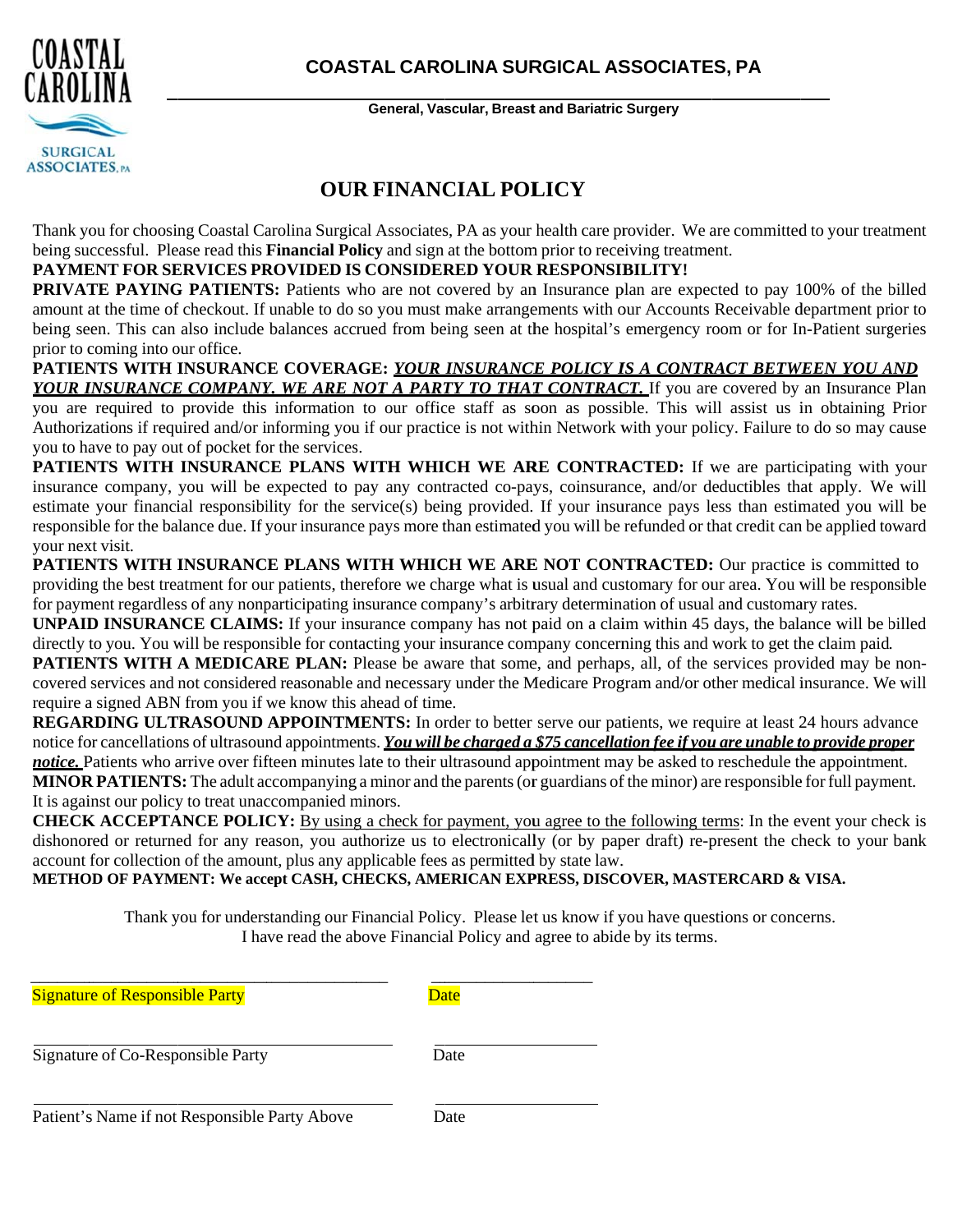

General, Vascular, Breast and Bariatric Surgery

## **OUR FINANCIAL POLICY**

Thank you for choosing Coastal Carolina Surgical Associates, PA as your health care provider. We are committed to your treatment being successful. Please read this **Financial Policy** and sign at the bottom prior to receiving treatment.

### PAYMENT FOR SERVICES PROVIDED IS CONSIDERED YOUR RESPONSIBILITY!

**PRIVATE PAYING PATIENTS:** Patients who are not covered by an Insurance plan are expected to pay 100% of the billed amount at the time of checkout. If unable to do so you must make arrangements with our Accounts Receivable department prior to being seen. This can also include balances accrued from being seen at the hospital's emergency room or for In-Patient surgeries prior to coming into our office.

PATIENTS WITH INSURANCE COVERAGE: YOUR INSURANCE POLICY IS A CONTRACT BETWEEN YOU AND YOUR INSURANCE COMPANY. WE ARE NOT A PARTY TO THAT CONTRACT. If you are covered by an Insurance Plan

you are required to provide this information to our office staff as soon as possible. This will assist us in obtaining Prior Authorizations if required and/or informing you if our practice is not within Network with your policy. Failure to do so may cause you to have to pay out of pocket for the services.

PATIENTS WITH INSURANCE PLANS WITH WHICH WE ARE CONTRACTED: If we are participating with your insurance company, you will be expected to pay any contracted co-pays, coinsurance, and/or deductibles that apply. We will estimate your financial responsibility for the service(s) being provided. If your insurance pays less than estimated you will be responsible for the balance due. If your insurance pays more than estimated you will be refunded or that credit can be applied toward vour next visit.

PATIENTS WITH INSURANCE PLANS WITH WHICH WE ARE NOT CONTRACTED: Our practice is committed to providing the best treatment for our patients, therefore we charge what is usual and customary for our area. You will be responsible for payment regardless of any nonparticipating insurance company's arbitrary determination of usual and customary rates.

**UNPAID INSURANCE CLAIMS:** If your insurance company has not paid on a claim within 45 days, the balance will be billed directly to you. You will be responsible for contacting your insurance company concerning this and work to get the claim paid.

**PATIENTS WITH A MEDICARE PLAN:** Please be aware that some, and perhaps, all, of the services provided may be noncovered services and not considered reasonable and necessary under the Medicare Program and/or other medical insurance. We will require a signed ABN from you if we know this ahead of time.

**REGARDING ULTRASOUND APPOINTMENTS:** In order to better serve our patients, we require at least 24 hours advance notice for cancellations of ultrasound appointments. You will be charged a \$75 cancellation fee if you are unable to provide proper notice. Patients who arrive over fifteen minutes late to their ultrasound appointment may be asked to reschedule the appointment. **MINOR PATIENTS:** The adult accompanying a minor and the parents (or guardians of the minor) are responsible for full payment.

It is against our policy to treat unaccompanied minors.

**CHECK ACCEPTANCE POLICY:** By using a check for payment, you agree to the following terms: In the event your check is dishonored or returned for any reason, you authorize us to electronically (or by paper draft) re-present the check to your bank account for collection of the amount, plus any applicable fees as permitted by state law.

METHOD OF PAYMENT: We accept CASH, CHECKS, AMERICAN EXPRESS, DISCOVER, MASTERCARD & VISA.

Thank you for understanding our Financial Policy. Please let us know if you have questions or concerns. I have read the above Financial Policy and agree to abide by its terms.

| <b>Signature of Responsible Party</b>         | Date |
|-----------------------------------------------|------|
| Signature of Co-Responsible Party             | Date |
| Patient's Name if not Responsible Party Above | Date |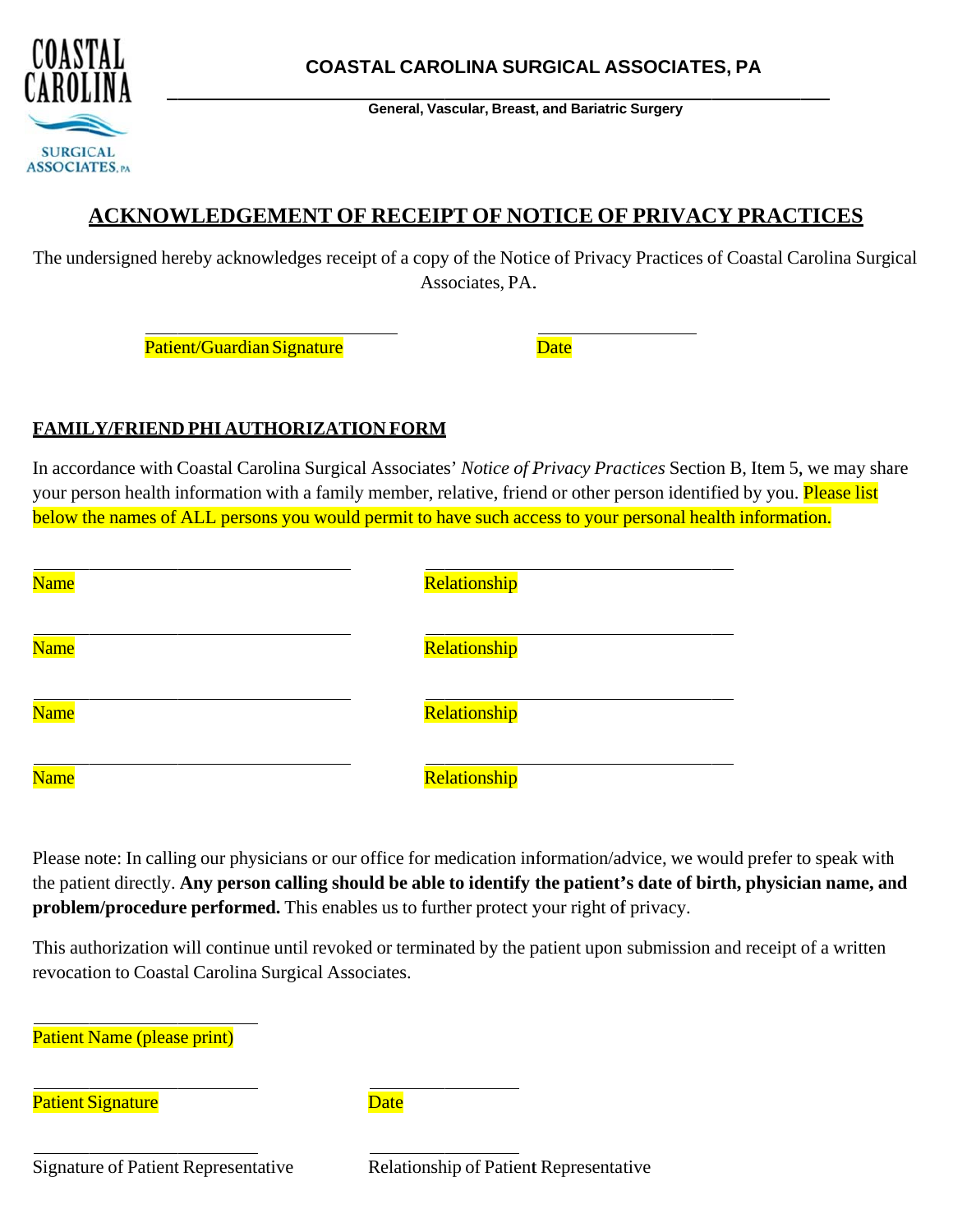

General, Vascular, Breast, and Bariatric Surgery

# **ACKNOWLEDGEMENT OF RECEIPT OF NOTICE OF PRIVACY PRACTICES**

The undersigned hereby acknowledges receipt of a copy of the Notice of Privacy Practices of Coastal Carolina Surgical Associates, PA.

Patient/Guardian Signature

**Date** 

## FAMILY/FRIEND PHI AUTHORIZATION FORM

In accordance with Coastal Carolina Surgical Associates' Notice of Privacy Practices Section B, Item 5, we may share your person health information with a family member, relative, friend or other person identified by you. Please list below the names of ALL persons you would permit to have such access to your personal health information.

| Name        | Relationship |
|-------------|--------------|
| Name        | Relationship |
| Name        | Relationship |
| <b>Name</b> | Relationship |

Please note: In calling our physicians or our office for medication information/advice, we would prefer to speak with the patient directly. Any person calling should be able to identify the patient's date of birth, physician name, and **problem/procedure performed.** This enables us to further protect your right of privacy.

This authorization will continue until revoked or terminated by the patient upon submission and receipt of a written revocation to Coastal Carolina Surgical Associates.

**Patient Name (please print)** 

**Patient Signature** 

**Date** 

**Signature of Patient Representative** 

Relationship of Patient Representative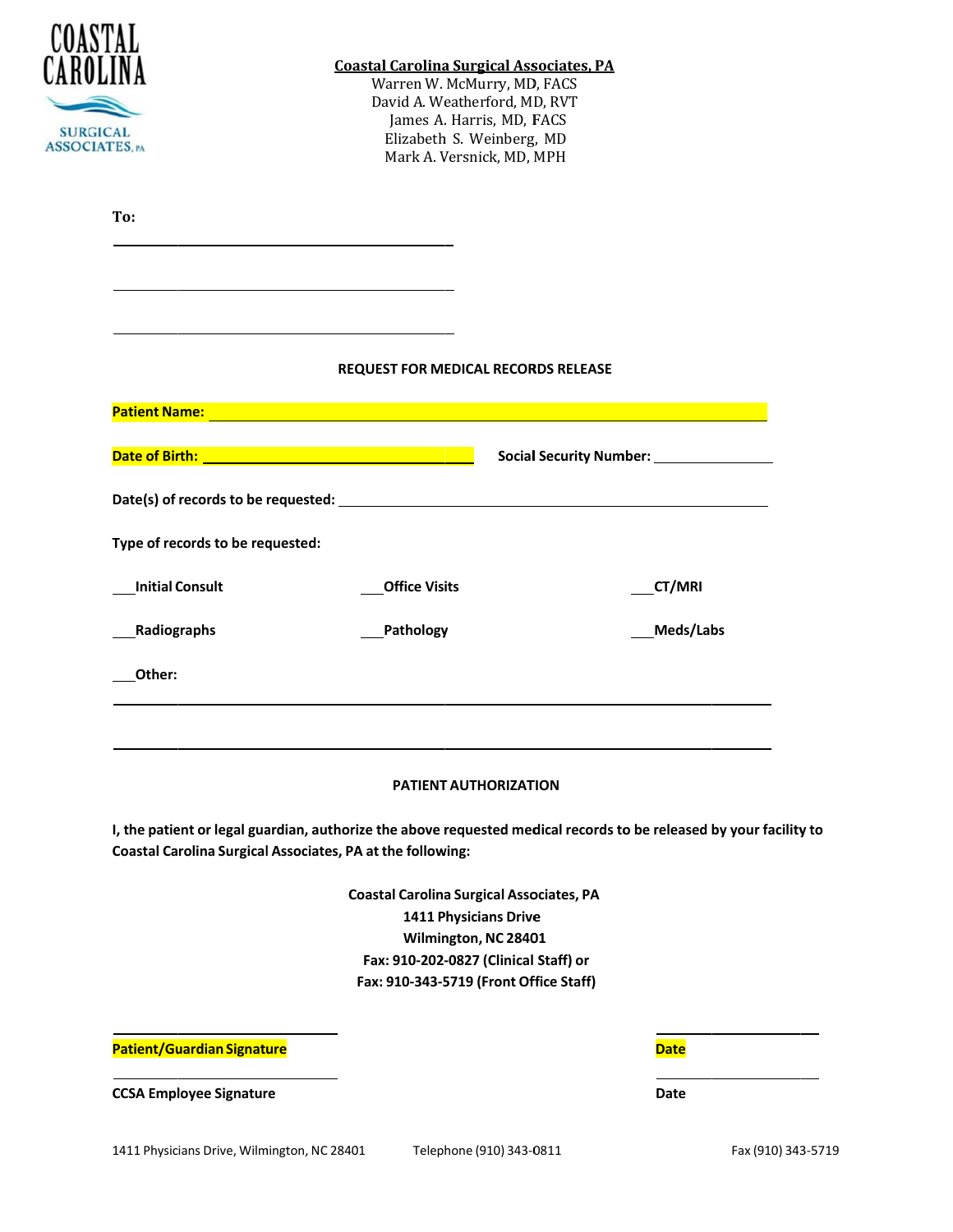| COASTAI<br><b>SURGICAL</b><br><b>ASSOCIATES.</b> PA                                                                                                                                                                            | <b>Coastal Carolina Surgical Associates, PA</b><br>Warren W. McMurry, MD, FACS<br>David A. Weatherford, MD, RVT<br>James A. Harris, MD, FACS<br>Elizabeth S. Weinberg, MD<br>Mark A. Versnick, MD, MPH |                                                                                                                    |  |  |  |
|--------------------------------------------------------------------------------------------------------------------------------------------------------------------------------------------------------------------------------|--------------------------------------------------------------------------------------------------------------------------------------------------------------------------------------------------------|--------------------------------------------------------------------------------------------------------------------|--|--|--|
| To:                                                                                                                                                                                                                            |                                                                                                                                                                                                        |                                                                                                                    |  |  |  |
|                                                                                                                                                                                                                                |                                                                                                                                                                                                        |                                                                                                                    |  |  |  |
|                                                                                                                                                                                                                                | <b>REQUEST FOR MEDICAL RECORDS RELEASE</b>                                                                                                                                                             |                                                                                                                    |  |  |  |
| Patient Name: North American Communication of the Communication of the Communication of the Communication of the Communication of the Communication of the Communication of the Communication of the Communication of the Comm |                                                                                                                                                                                                        |                                                                                                                    |  |  |  |
|                                                                                                                                                                                                                                |                                                                                                                                                                                                        |                                                                                                                    |  |  |  |
|                                                                                                                                                                                                                                |                                                                                                                                                                                                        |                                                                                                                    |  |  |  |
| Type of records to be requested:                                                                                                                                                                                               |                                                                                                                                                                                                        |                                                                                                                    |  |  |  |
| <b>Initial Consult</b>                                                                                                                                                                                                         | <b>Office Visits</b>                                                                                                                                                                                   | <b>CT/MRI</b>                                                                                                      |  |  |  |
| Radiographs                                                                                                                                                                                                                    | Pathology                                                                                                                                                                                              | Meds/Labs                                                                                                          |  |  |  |
| Other:                                                                                                                                                                                                                         |                                                                                                                                                                                                        |                                                                                                                    |  |  |  |
|                                                                                                                                                                                                                                | <b>PATIENT AUTHORIZATION</b>                                                                                                                                                                           |                                                                                                                    |  |  |  |
| <b>Coastal Carolina Surgical Associates, PA at the following:</b>                                                                                                                                                              |                                                                                                                                                                                                        | I, the patient or legal guardian, authorize the above requested medical records to be released by your facility to |  |  |  |
|                                                                                                                                                                                                                                | <b>Coastal Carolina Surgical Associates, PA</b><br><b>1411 Physicians Drive</b><br>Wilmington, NC 28401<br>Fax: 910-202-0827 (Clinical Staff) or<br>Fax: 910-343-5719 (Front Office Staff)             |                                                                                                                    |  |  |  |
| Patient/Guardian Signature                                                                                                                                                                                                     |                                                                                                                                                                                                        | <b>Date</b>                                                                                                        |  |  |  |

Date

1411 Physicians Drive, Wilmington, NC 28401

**CCSA Employee Signature**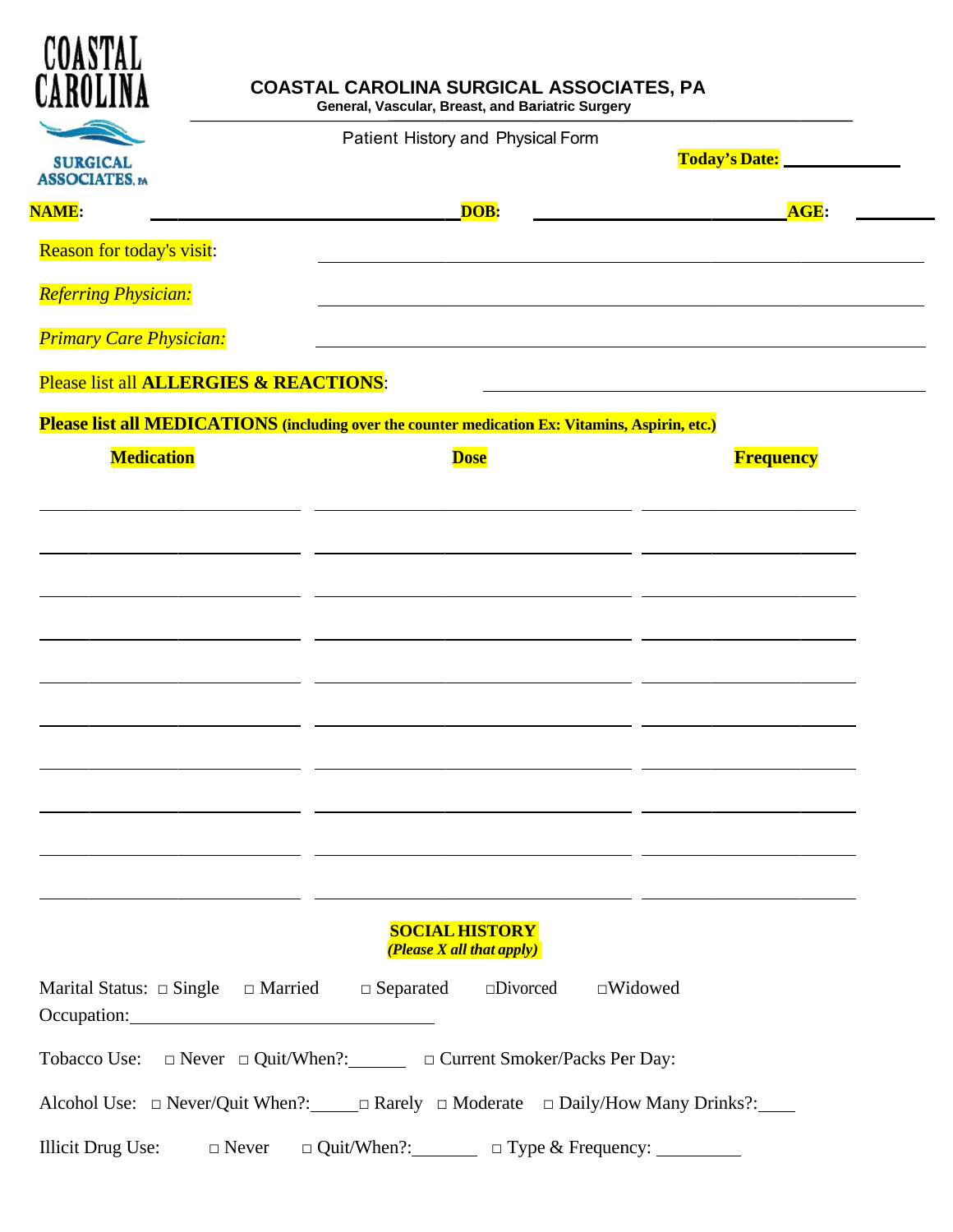| COASTAL<br>CAROLINA                      | <b>COASTAL CAROLINA SURGICAL ASSOCIATES, PA</b><br>General, Vascular, Breast, and Bariatric Surgery                                                                                                                                                                                                                           |                  |
|------------------------------------------|-------------------------------------------------------------------------------------------------------------------------------------------------------------------------------------------------------------------------------------------------------------------------------------------------------------------------------|------------------|
| <b>SURGICAL</b><br><b>ASSOCIATES.</b> PA | Patient History and Physical Form                                                                                                                                                                                                                                                                                             |                  |
| <b>NAME:</b>                             | DOB:                                                                                                                                                                                                                                                                                                                          | AGE:             |
| <b>Reason for today's visit:</b>         |                                                                                                                                                                                                                                                                                                                               |                  |
| <b>Referring Physician:</b>              |                                                                                                                                                                                                                                                                                                                               |                  |
| <b>Primary Care Physician:</b>           |                                                                                                                                                                                                                                                                                                                               |                  |
| Please list all ALLERGIES & REACTIONS:   |                                                                                                                                                                                                                                                                                                                               |                  |
|                                          | Please list all MEDICATIONS (including over the counter medication Ex: Vitamins, Aspirin, etc.)                                                                                                                                                                                                                               |                  |
| <b>Medication</b>                        | <b>Dose</b>                                                                                                                                                                                                                                                                                                                   | <b>Frequency</b> |
|                                          |                                                                                                                                                                                                                                                                                                                               |                  |
|                                          |                                                                                                                                                                                                                                                                                                                               |                  |
|                                          |                                                                                                                                                                                                                                                                                                                               |                  |
|                                          |                                                                                                                                                                                                                                                                                                                               |                  |
|                                          |                                                                                                                                                                                                                                                                                                                               |                  |
|                                          |                                                                                                                                                                                                                                                                                                                               |                  |
|                                          |                                                                                                                                                                                                                                                                                                                               |                  |
|                                          |                                                                                                                                                                                                                                                                                                                               |                  |
|                                          |                                                                                                                                                                                                                                                                                                                               |                  |
|                                          |                                                                                                                                                                                                                                                                                                                               |                  |
|                                          |                                                                                                                                                                                                                                                                                                                               |                  |
|                                          | <b>SOCIAL HISTORY</b><br>(Please X all that apply)                                                                                                                                                                                                                                                                            |                  |
|                                          | Marital Status: $\Box$ Single $\Box$ Married $\Box$ Separated $\Box$ Divorced $\Box$ Widowed<br>Occupation: Decumentary Contract Contract Contract Contract Contract Contract Contract Contract Contract Contract Contract Contract Contract Contract Contract Contract Contract Contract Contract Contract Contract Contract |                  |
|                                          | Tobacco Use:  □ Never □ Quit/When?:  □ Current Smoker/Packs Per Day:                                                                                                                                                                                                                                                          |                  |
|                                          | Alcohol Use: □ Never/Quit When?: □ Rarely □ Moderate □ Daily/How Many Drinks?: □                                                                                                                                                                                                                                              |                  |
|                                          | Illicit Drug Use: $\Box$ Never $\Box$ Quit/When?: $\Box$ $\Box$ Type & Frequency: $\Box$                                                                                                                                                                                                                                      |                  |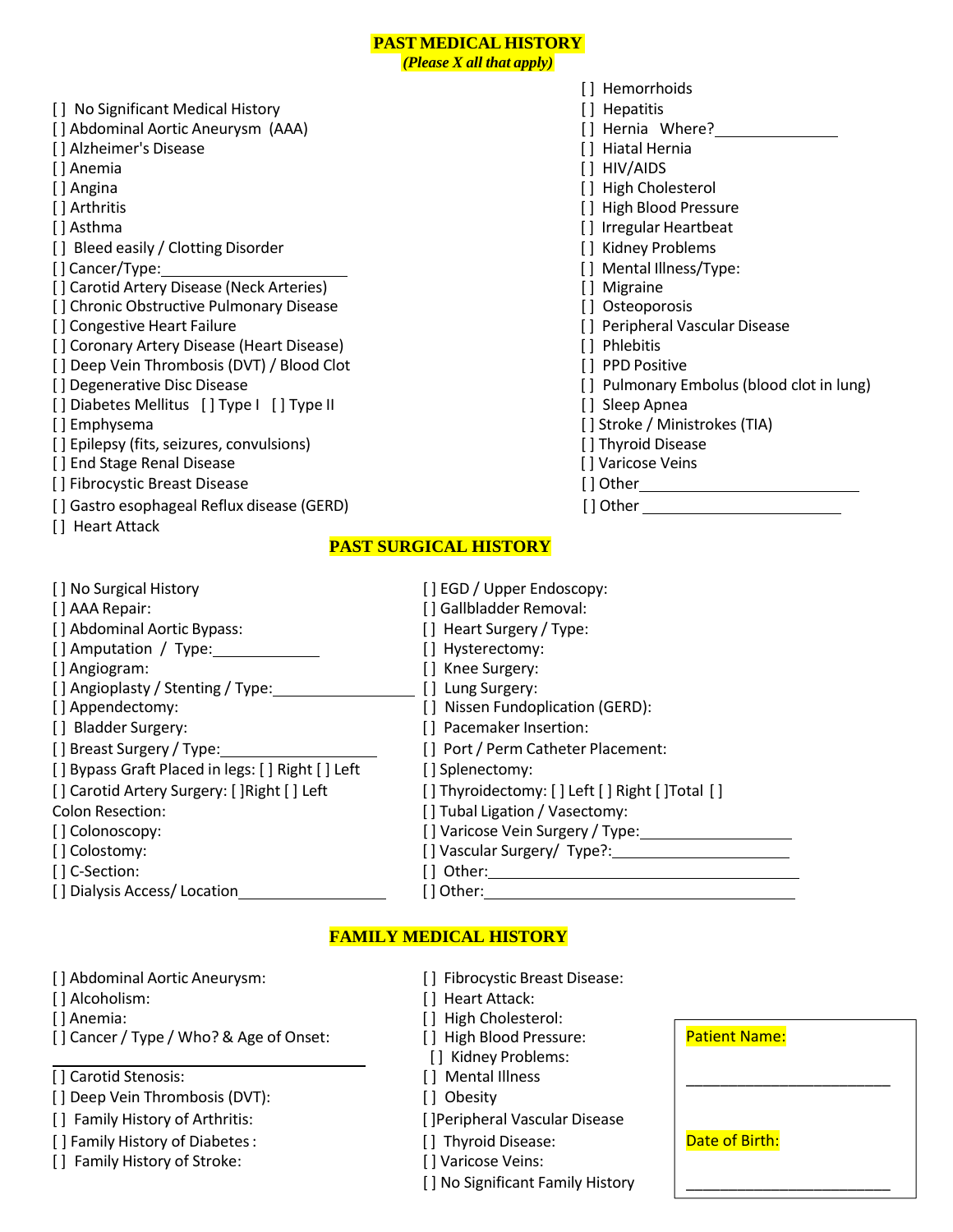### **PAST MEDICAL HISTORY**

*(Please X all that apply)*

- [ ] No Significant Medical History [ ] Hepatitis [ ] Abdominal Aortic Aneurysm (AAA) [ ] Hernia Where? [ ] Alzheimer's Disease [ ] Hiatal Hernia [ ] Anemia [ ] HIV/AIDS [ ] Angina [ ] ] Angina [ ] Angina [ ] High Cholesterol [ ] Arthritis [ ] Arthritis [ ] Arthritis [ ] High Blood Pressure [ ] High Blood Pressure [ ] Asthma [ ] ] Irregular Heartbeat [] Bleed easily / Clotting Disorder [ ] Ridney Problems [ ] Cancer/Type: [ ] Mental Illness/Type: [] Carotid Artery Disease (Neck Arteries) [ ] Migraine [ ] Migraine [ ] Chronic Obstructive Pulmonary Disease [ ] Osteoporosis [ ] Congestive Heart Failure [ ] Congestive Heart Failure [ ] Congestive Heart Failure [ ] Coronary Artery Disease (Heart Disease) [ ] Phlebitis [ ] Deep Vein Thrombosis (DVT) / Blood Clot [ ] PPD Positive [ ] PPD Positive [ ] Degenerative Disc Disease [ ] Pulmonary Embolus (blood clot in lung) [ ] Diabetes Mellitus [ ] Type I [ ] Type II [ ] Cleep Apnea [ ] Emphysema [ ] Compared TIA by The Latter of Latter Stroke / Ministrokes (TIA) [] Epilepsy (fits, seizures, convulsions) [ ] Thyroid Disease [ ] Thyroid Disease [ ] End Stage Renal Disease [ ] Varicose Veins [ ] Fibrocystic Breast Disease [ ] Other [ ] Other [ ] Gastro esophageal Reflux disease (GERD) [ ] Other \_\_\_\_\_\_\_\_\_\_\_\_\_\_\_\_\_\_\_\_\_\_\_\_\_\_ [ ] Heart Attack
- [] Hemorrhoids
	-
	-
	-
	-
	-
	-
	-
	-
	-
	-
	-
	-
	-
	-
	-
	-
	-
	-
	-
	-
	-

### **PAST SURGICAL HISTORY**

| [] No Surgical History                           | [] EGD / Upper Endoscopy:                      |
|--------------------------------------------------|------------------------------------------------|
| [] AAA Repair:                                   | [] Gallbladder Removal:                        |
| [] Abdominal Aortic Bypass:                      | [] Heart Surgery / Type:                       |
| [] Amputation / Type:                            | [] Hysterectomy:                               |
| [] Angiogram:                                    | [] Knee Surgery:                               |
| [] Angioplasty / Stenting / Type:                | [ ] Lung Surgery:                              |
| [] Appendectomy:                                 | [] Nissen Fundoplication (GERD):               |
| [] Bladder Surgery:                              | [] Pacemaker Insertion:                        |
| [] Breast Surgery / Type:                        | [] Port / Perm Catheter Placement:             |
| [] Bypass Graft Placed in legs: [] Right [] Left | [] Splenectomy:                                |
| [] Carotid Artery Surgery: [] Right [] Left      | [] Thyroidectomy: [] Left [] Right [] Total [] |
| <b>Colon Resection:</b>                          | [] Tubal Ligation / Vasectomy:                 |
| [] Colonoscopy:                                  | [] Varicose Vein Surgery / Type:               |
| [] Colostomy:                                    | [] Vascular Surgery/ Type?:                    |
| [] C-Section:                                    | [ ] Other:                                     |
| [] Dialysis Access/ Location                     | [ ] Other:                                     |

#### **FAMILY MEDICAL HISTORY**

[] Abdominal Aortic Aneurysm: [ ] Fibrocystic Breast Disease:

- 
- [] Cancer / Type / Who? & Age of Onset: [] High Blood Pressure:

[] Carotid Stenosis: [] Mental Illness

- [] Deep Vein Thrombosis (DVT): [ ] Obesity
- 
- [] Family History of Diabetes: [] Thyroid Disease:
- [] Family History of Stroke: [] Varicose Veins:
- 
- [ ] Alcoholism: [ ] Heart Attack:
- [] Anemia: [] High Cholesterol:
	-
	- [ ] Kidney Problems:
	-
	-
- [] Family History of Arthritis: [[ ] Family History of Arthritis: [ ] [ ] [ ] Peripheral Vascular Disease
	-
	-
	- [] No Significant Family History

| <b>Patient Name:</b> |  |
|----------------------|--|
|                      |  |
| Date of Birth:       |  |